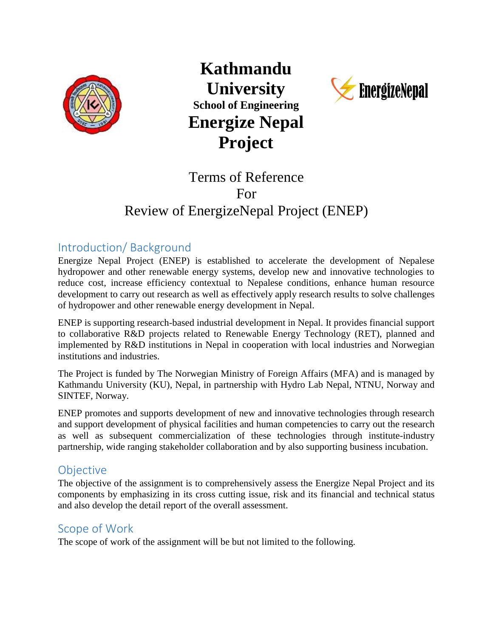

**Kathmandu University School of Engineering Energize Nepal Project**



# Terms of Reference For Review of EnergizeNepal Project (ENEP)

# Introduction/ Background

Energize Nepal Project (ENEP) is established to accelerate the development of Nepalese hydropower and other renewable energy systems, develop new and innovative technologies to reduce cost, increase efficiency contextual to Nepalese conditions, enhance human resource development to carry out research as well as effectively apply research results to solve challenges of hydropower and other renewable energy development in Nepal.

ENEP is supporting research-based industrial development in Nepal. It provides financial support to collaborative R&D projects related to Renewable Energy Technology (RET), planned and implemented by R&D institutions in Nepal in cooperation with local industries and Norwegian institutions and industries.

The Project is funded by The Norwegian Ministry of Foreign Affairs (MFA) and is managed by Kathmandu University (KU), Nepal, in partnership with Hydro Lab Nepal, NTNU, Norway and SINTEF, Norway.

ENEP promotes and supports development of new and innovative technologies through research and support development of physical facilities and human competencies to carry out the research as well as subsequent commercialization of these technologies through institute-industry partnership, wide ranging stakeholder collaboration and by also supporting business incubation.

# **Objective**

The objective of the assignment is to comprehensively assess the Energize Nepal Project and its components by emphasizing in its cross cutting issue, risk and its financial and technical status and also develop the detail report of the overall assessment.

### Scope of Work

The scope of work of the assignment will be but not limited to the following.